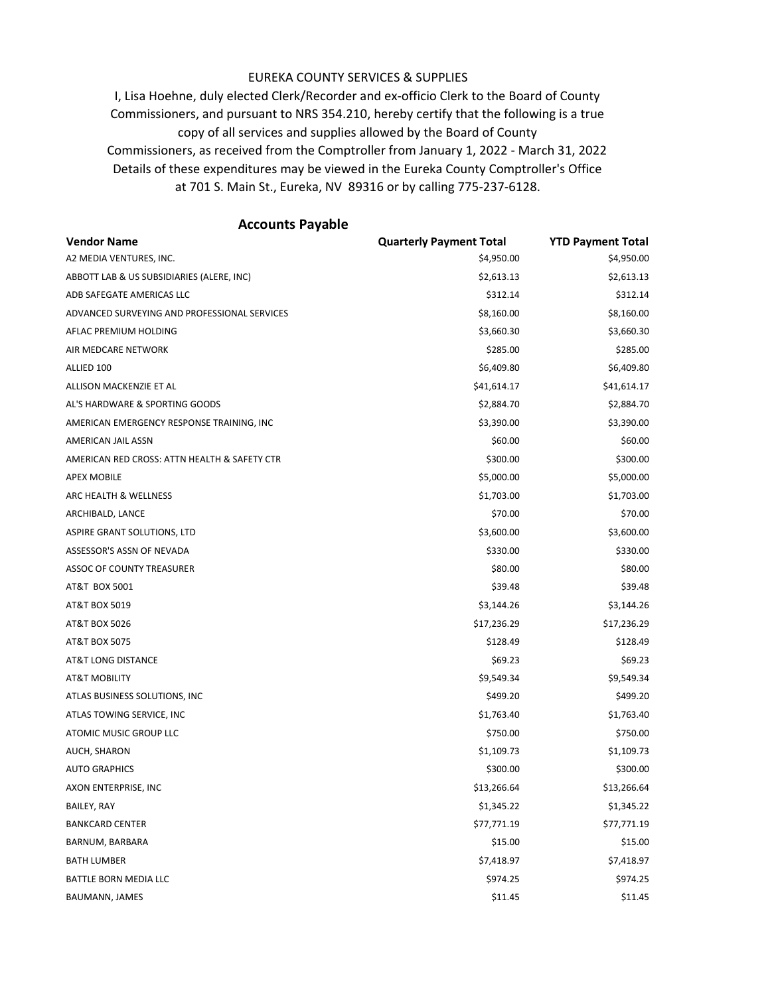## EUREKA COUNTY SERVICES & SUPPLIES

at 701 S. Main St., Eureka, NV 89316 or by calling 775-237-6128. I, Lisa Hoehne, duly elected Clerk/Recorder and ex-officio Clerk to the Board of County Commissioners, and pursuant to NRS 354.210, hereby certify that the following is a true copy of all services and supplies allowed by the Board of County Commissioners, as received from the Comptroller from January 1, 2022 - March 31, 2022 Details of these expenditures may be viewed in the Eureka County Comptroller's Office

| <b>Accounts Payable</b>                      |                                |                          |  |
|----------------------------------------------|--------------------------------|--------------------------|--|
| <b>Vendor Name</b>                           | <b>Quarterly Payment Total</b> | <b>YTD Payment Total</b> |  |
| A2 MEDIA VENTURES, INC.                      | \$4,950.00                     | \$4,950.00               |  |
| ABBOTT LAB & US SUBSIDIARIES (ALERE, INC)    | \$2,613.13                     | \$2,613.13               |  |
| ADB SAFEGATE AMERICAS LLC                    | \$312.14                       | \$312.14                 |  |
| ADVANCED SURVEYING AND PROFESSIONAL SERVICES | \$8,160.00                     | \$8,160.00               |  |
| AFLAC PREMIUM HOLDING                        | \$3,660.30                     | \$3,660.30               |  |
| AIR MEDCARE NETWORK                          | \$285.00                       | \$285.00                 |  |
| ALLIED 100                                   | \$6,409.80                     | \$6,409.80               |  |
| ALLISON MACKENZIE ET AL                      | \$41,614.17                    | \$41,614.17              |  |
| AL'S HARDWARE & SPORTING GOODS               | \$2,884.70                     | \$2,884.70               |  |
| AMERICAN EMERGENCY RESPONSE TRAINING, INC    | \$3,390.00                     | \$3,390.00               |  |
| AMERICAN JAIL ASSN                           | \$60.00                        | \$60.00                  |  |
| AMERICAN RED CROSS: ATTN HEALTH & SAFETY CTR | \$300.00                       | \$300.00                 |  |
| <b>APEX MOBILE</b>                           | \$5,000.00                     | \$5,000.00               |  |
| ARC HEALTH & WELLNESS                        | \$1,703.00                     | \$1,703.00               |  |
| ARCHIBALD, LANCE                             | \$70.00                        | \$70.00                  |  |
| ASPIRE GRANT SOLUTIONS, LTD                  | \$3,600.00                     | \$3,600.00               |  |
| ASSESSOR'S ASSN OF NEVADA                    | \$330.00                       | \$330.00                 |  |
| ASSOC OF COUNTY TREASURER                    | \$80.00                        | \$80.00                  |  |
| AT&T BOX 5001                                | \$39.48                        | \$39.48                  |  |
| AT&T BOX 5019                                | \$3,144.26                     | \$3,144.26               |  |
| <b>AT&amp;T BOX 5026</b>                     | \$17,236.29                    | \$17,236.29              |  |
| AT&T BOX 5075                                | \$128.49                       | \$128.49                 |  |
| AT&T LONG DISTANCE                           | \$69.23                        | \$69.23                  |  |
| AT&T MOBILITY                                | \$9,549.34                     | \$9,549.34               |  |
| ATLAS BUSINESS SOLUTIONS, INC                | \$499.20                       | \$499.20                 |  |
| ATLAS TOWING SERVICE, INC                    | \$1,763.40                     | \$1,763.40               |  |
| ATOMIC MUSIC GROUP LLC                       | \$750.00                       | \$750.00                 |  |
| AUCH, SHARON                                 | \$1,109.73                     | \$1,109.73               |  |
| <b>AUTO GRAPHICS</b>                         | \$300.00                       | \$300.00                 |  |
| AXON ENTERPRISE, INC                         | \$13,266.64                    | \$13,266.64              |  |
| BAILEY, RAY                                  | \$1,345.22                     | \$1,345.22               |  |
| <b>BANKCARD CENTER</b>                       | \$77,771.19                    | \$77,771.19              |  |
| BARNUM, BARBARA                              | \$15.00                        | \$15.00                  |  |
| <b>BATH LUMBER</b>                           | \$7,418.97                     | \$7,418.97               |  |
| BATTLE BORN MEDIA LLC                        | \$974.25                       | \$974.25                 |  |
| <b>BAUMANN, JAMES</b>                        | \$11.45                        | \$11.45                  |  |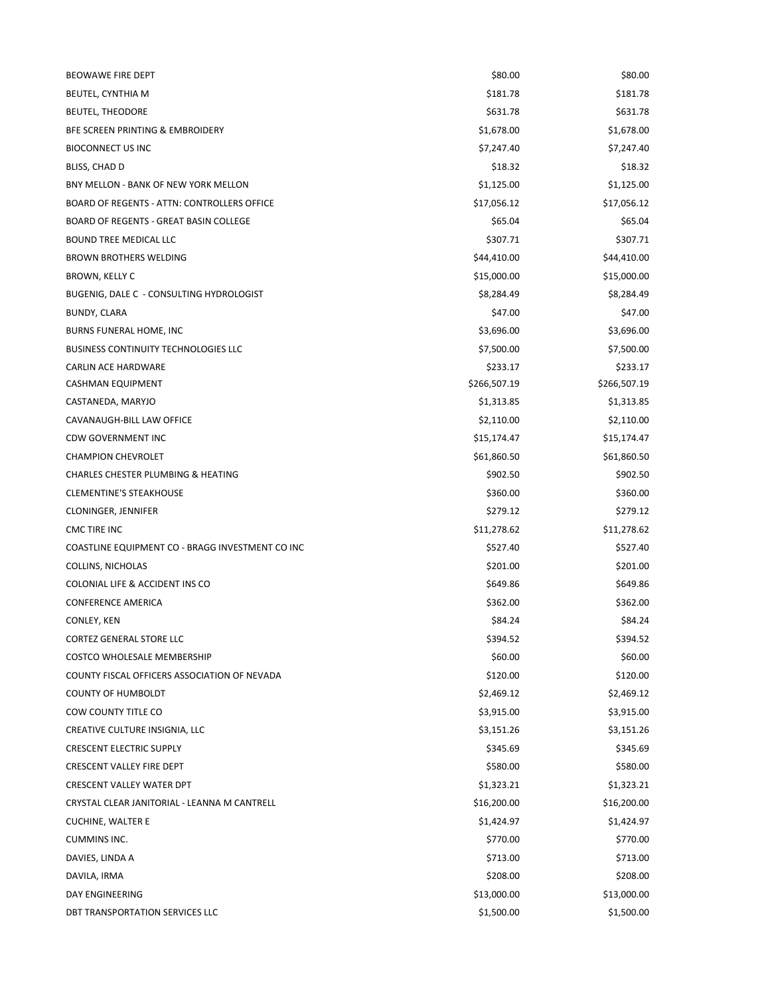| <b>BEOWAWE FIRE DEPT</b>                           | \$80.00      | \$80.00      |
|----------------------------------------------------|--------------|--------------|
| BEUTEL, CYNTHIA M                                  | \$181.78     | \$181.78     |
| <b>BEUTEL, THEODORE</b>                            | \$631.78     | \$631.78     |
| BFE SCREEN PRINTING & EMBROIDERY                   | \$1,678.00   | \$1,678.00   |
| <b>BIOCONNECT US INC</b>                           | \$7,247.40   | \$7,247.40   |
| BLISS, CHAD D                                      | \$18.32      | \$18.32      |
| BNY MELLON - BANK OF NEW YORK MELLON               | \$1,125.00   | \$1,125.00   |
| <b>BOARD OF REGENTS - ATTN: CONTROLLERS OFFICE</b> | \$17,056.12  | \$17,056.12  |
| <b>BOARD OF REGENTS - GREAT BASIN COLLEGE</b>      | \$65.04      | \$65.04      |
| <b>BOUND TREE MEDICAL LLC</b>                      | \$307.71     | \$307.71     |
| <b>BROWN BROTHERS WELDING</b>                      | \$44,410.00  | \$44,410.00  |
| BROWN, KELLY C                                     | \$15,000.00  | \$15,000.00  |
| BUGENIG, DALE C - CONSULTING HYDROLOGIST           | \$8,284.49   | \$8,284.49   |
| BUNDY, CLARA                                       | \$47.00      | \$47.00      |
| BURNS FUNERAL HOME, INC                            | \$3,696.00   | \$3,696.00   |
| <b>BUSINESS CONTINUITY TECHNOLOGIES LLC</b>        | \$7,500.00   | \$7,500.00   |
| <b>CARLIN ACE HARDWARE</b>                         | \$233.17     | \$233.17     |
| CASHMAN EQUIPMENT                                  | \$266,507.19 | \$266,507.19 |
| CASTANEDA, MARYJO                                  | \$1,313.85   | \$1,313.85   |
| CAVANAUGH-BILL LAW OFFICE                          | \$2,110.00   | \$2,110.00   |
| <b>CDW GOVERNMENT INC</b>                          | \$15,174.47  | \$15,174.47  |
| <b>CHAMPION CHEVROLET</b>                          | \$61,860.50  | \$61,860.50  |
| CHARLES CHESTER PLUMBING & HEATING                 | \$902.50     | \$902.50     |
| <b>CLEMENTINE'S STEAKHOUSE</b>                     | \$360.00     | \$360.00     |
| CLONINGER, JENNIFER                                | \$279.12     | \$279.12     |
| CMC TIRE INC                                       | \$11,278.62  | \$11,278.62  |
| COASTLINE EQUIPMENT CO - BRAGG INVESTMENT CO INC   | \$527.40     | \$527.40     |
| COLLINS, NICHOLAS                                  | \$201.00     | \$201.00     |
| COLONIAL LIFE & ACCIDENT INS CO                    | \$649.86     | \$649.86     |
| <b>CONFERENCE AMERICA</b>                          | \$362.00     | \$362.00     |
| CONLEY, KEN                                        | \$84.24      | \$84.24      |
| <b>CORTEZ GENERAL STORE LLC</b>                    | \$394.52     | \$394.52     |
| <b>COSTCO WHOLESALE MEMBERSHIP</b>                 | \$60.00      | \$60.00      |
| COUNTY FISCAL OFFICERS ASSOCIATION OF NEVADA       | \$120.00     | \$120.00     |
| <b>COUNTY OF HUMBOLDT</b>                          | \$2,469.12   | \$2,469.12   |
| COW COUNTY TITLE CO                                | \$3,915.00   | \$3,915.00   |
| CREATIVE CULTURE INSIGNIA, LLC                     | \$3,151.26   | \$3,151.26   |
| <b>CRESCENT ELECTRIC SUPPLY</b>                    | \$345.69     | \$345.69     |
| CRESCENT VALLEY FIRE DEPT                          | \$580.00     | \$580.00     |
| <b>CRESCENT VALLEY WATER DPT</b>                   | \$1,323.21   | \$1,323.21   |
| CRYSTAL CLEAR JANITORIAL - LEANNA M CANTRELL       | \$16,200.00  | \$16,200.00  |
| <b>CUCHINE, WALTER E</b>                           | \$1,424.97   | \$1,424.97   |
| <b>CUMMINS INC.</b>                                | \$770.00     | \$770.00     |
| DAVIES, LINDA A                                    | \$713.00     | \$713.00     |
| DAVILA, IRMA                                       | \$208.00     | \$208.00     |
| DAY ENGINEERING                                    | \$13,000.00  | \$13,000.00  |
| DBT TRANSPORTATION SERVICES LLC                    | \$1,500.00   | \$1,500.00   |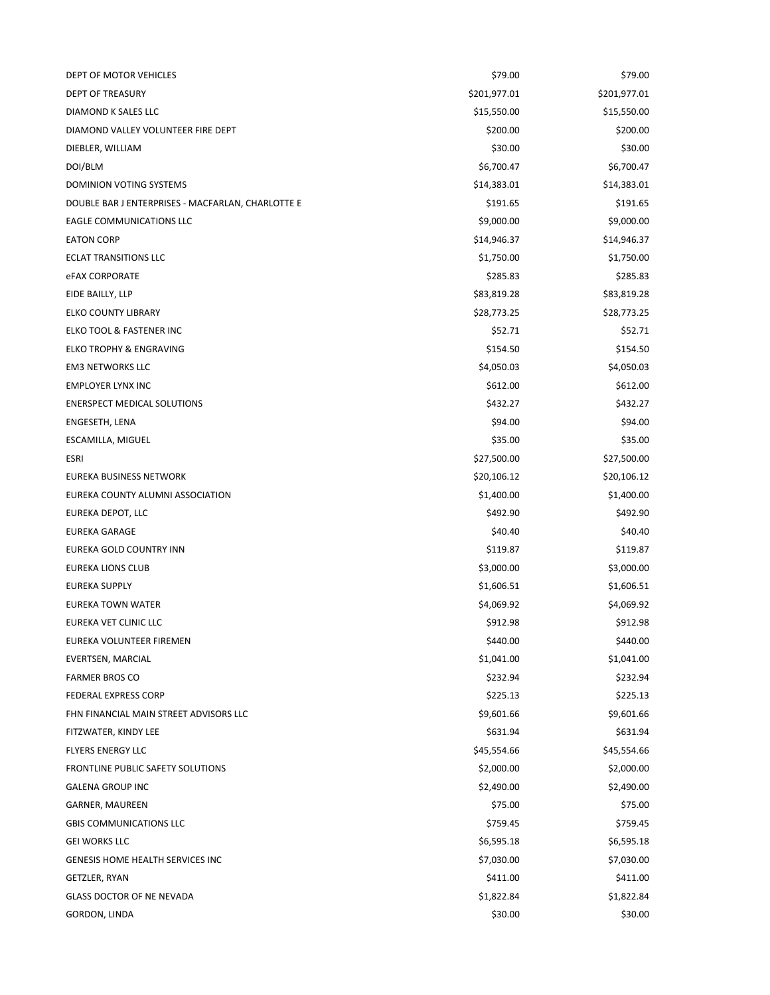| DEPT OF MOTOR VEHICLES                            | \$79.00      | \$79.00      |
|---------------------------------------------------|--------------|--------------|
| <b>DEPT OF TREASURY</b>                           | \$201,977.01 | \$201,977.01 |
| DIAMOND K SALES LLC                               | \$15,550.00  | \$15,550.00  |
| DIAMOND VALLEY VOLUNTEER FIRE DEPT                | \$200.00     | \$200.00     |
| DIEBLER, WILLIAM                                  | \$30.00      | \$30.00      |
| DOI/BLM                                           | \$6,700.47   | \$6,700.47   |
| DOMINION VOTING SYSTEMS                           | \$14,383.01  | \$14,383.01  |
| DOUBLE BAR J ENTERPRISES - MACFARLAN, CHARLOTTE E | \$191.65     | \$191.65     |
| <b>EAGLE COMMUNICATIONS LLC</b>                   | \$9,000.00   | \$9,000.00   |
| <b>EATON CORP</b>                                 | \$14,946.37  | \$14,946.37  |
| ECLAT TRANSITIONS LLC                             | \$1,750.00   | \$1,750.00   |
| <b>eFAX CORPORATE</b>                             | \$285.83     | \$285.83     |
| EIDE BAILLY, LLP                                  | \$83,819.28  | \$83,819.28  |
| ELKO COUNTY LIBRARY                               | \$28,773.25  | \$28,773.25  |
| ELKO TOOL & FASTENER INC                          | \$52.71      | \$52.71      |
| <b>ELKO TROPHY &amp; ENGRAVING</b>                | \$154.50     | \$154.50     |
| <b>EM3 NETWORKS LLC</b>                           | \$4,050.03   | \$4,050.03   |
| <b>EMPLOYER LYNX INC</b>                          | \$612.00     | \$612.00     |
| <b>ENERSPECT MEDICAL SOLUTIONS</b>                | \$432.27     | \$432.27     |
| ENGESETH, LENA                                    | \$94.00      | \$94.00      |
| ESCAMILLA, MIGUEL                                 | \$35.00      | \$35.00      |
| ESRI                                              | \$27,500.00  | \$27,500.00  |
| EUREKA BUSINESS NETWORK                           | \$20,106.12  | \$20,106.12  |
| EUREKA COUNTY ALUMNI ASSOCIATION                  | \$1,400.00   | \$1,400.00   |
| EUREKA DEPOT, LLC                                 | \$492.90     | \$492.90     |
| <b>EUREKA GARAGE</b>                              | \$40.40      | \$40.40      |
| EUREKA GOLD COUNTRY INN                           | \$119.87     | \$119.87     |
| EUREKA LIONS CLUB                                 | \$3,000.00   | \$3,000.00   |
| EUREKA SUPPLY                                     | \$1,606.51   | \$1,606.51   |
| EUREKA TOWN WATER                                 | \$4,069.92   | \$4,069.92   |
| EUREKA VET CLINIC LLC                             | \$912.98     | \$912.98     |
| EUREKA VOLUNTEER FIREMEN                          | \$440.00     | \$440.00     |
| EVERTSEN, MARCIAL                                 | \$1,041.00   | \$1,041.00   |
| <b>FARMER BROS CO</b>                             | \$232.94     | \$232.94     |
| <b>FEDERAL EXPRESS CORP</b>                       | \$225.13     | \$225.13     |
| FHN FINANCIAL MAIN STREET ADVISORS LLC            | \$9,601.66   | \$9,601.66   |
| FITZWATER, KINDY LEE                              | \$631.94     | \$631.94     |
| FLYERS ENERGY LLC                                 | \$45,554.66  | \$45,554.66  |
| FRONTLINE PUBLIC SAFETY SOLUTIONS                 | \$2,000.00   | \$2,000.00   |
| <b>GALENA GROUP INC</b>                           | \$2,490.00   | \$2,490.00   |
| GARNER, MAUREEN                                   | \$75.00      | \$75.00      |
| <b>GBIS COMMUNICATIONS LLC</b>                    | \$759.45     | \$759.45     |
| <b>GEI WORKS LLC</b>                              | \$6,595.18   | \$6,595.18   |
| GENESIS HOME HEALTH SERVICES INC                  | \$7,030.00   | \$7,030.00   |
| GETZLER, RYAN                                     | \$411.00     | \$411.00     |
| GLASS DOCTOR OF NE NEVADA                         | \$1,822.84   | \$1,822.84   |
| GORDON, LINDA                                     | \$30.00      | \$30.00      |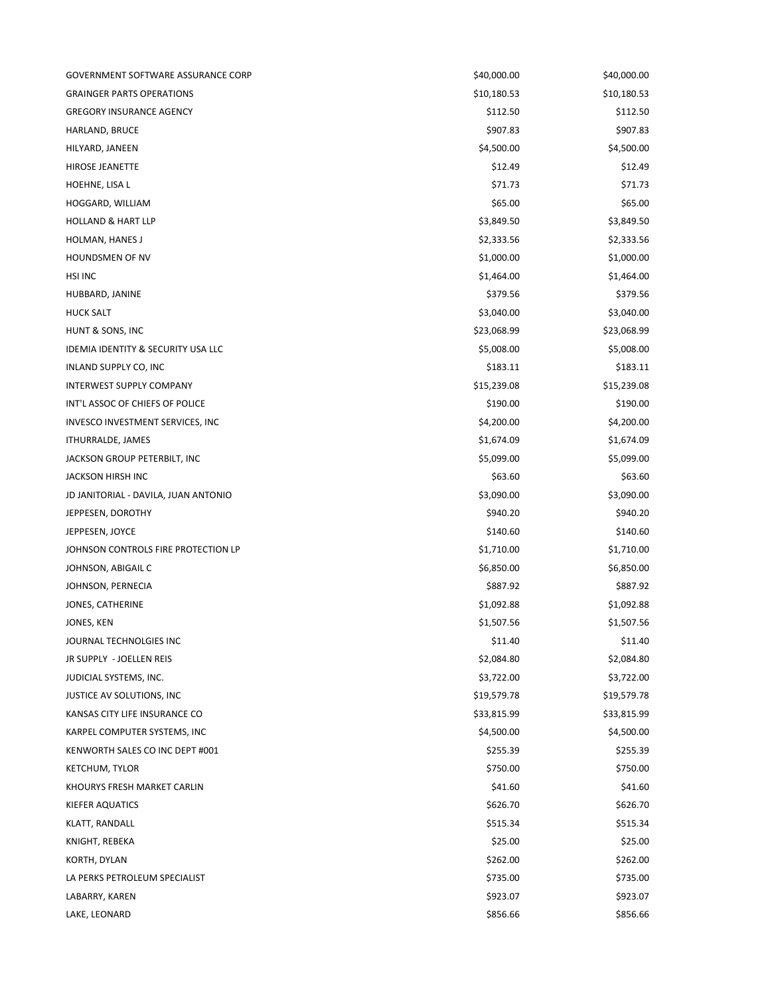| GOVERNMENT SOFTWARE ASSURANCE CORP   | \$40,000.00 | \$40,000.00 |
|--------------------------------------|-------------|-------------|
| <b>GRAINGER PARTS OPERATIONS</b>     | \$10,180.53 | \$10,180.53 |
| <b>GREGORY INSURANCE AGENCY</b>      | \$112.50    | \$112.50    |
| HARLAND, BRUCE                       | \$907.83    | \$907.83    |
| HILYARD, JANEEN                      | \$4,500.00  | \$4,500.00  |
| <b>HIROSE JEANETTE</b>               | \$12.49     | \$12.49     |
| HOEHNE, LISA L                       | \$71.73     | \$71.73     |
| HOGGARD, WILLIAM                     | \$65.00     | \$65.00     |
| HOLLAND & HART LLP                   | \$3,849.50  | \$3,849.50  |
| <b>HOLMAN, HANES J</b>               | \$2,333.56  | \$2,333.56  |
| HOUNDSMEN OF NV                      | \$1,000.00  | \$1,000.00  |
| <b>HSI INC</b>                       | \$1,464.00  | \$1,464.00  |
| HUBBARD, JANINE                      | \$379.56    | \$379.56    |
| HUCK SALT                            | \$3,040.00  | \$3,040.00  |
| HUNT & SONS, INC                     | \$23,068.99 | \$23,068.99 |
| IDEMIA IDENTITY & SECURITY USA LLC   | \$5,008.00  | \$5,008.00  |
| INLAND SUPPLY CO, INC                | \$183.11    | \$183.11    |
| INTERWEST SUPPLY COMPANY             | \$15,239.08 | \$15,239.08 |
| INT'L ASSOC OF CHIEFS OF POLICE      | \$190.00    | \$190.00    |
| INVESCO INVESTMENT SERVICES, INC     | \$4,200.00  | \$4,200.00  |
| ITHURRALDE, JAMES                    | \$1,674.09  | \$1,674.09  |
| JACKSON GROUP PETERBILT, INC         | \$5,099.00  | \$5,099.00  |
| JACKSON HIRSH INC                    | \$63.60     | \$63.60     |
| JD JANITORIAL - DAVILA, JUAN ANTONIO | \$3,090.00  | \$3,090.00  |
| JEPPESEN, DOROTHY                    | \$940.20    | \$940.20    |
| JEPPESEN, JOYCE                      | \$140.60    | \$140.60    |
| JOHNSON CONTROLS FIRE PROTECTION LP  | \$1,710.00  | \$1,710.00  |
| JOHNSON, ABIGAIL C                   | \$6,850.00  | \$6,850.00  |
| JOHNSON, PERNECIA                    | \$887.92    | \$887.92    |
| JONES, CATHERINE                     | \$1,092.88  | \$1,092.88  |
| JONES, KEN                           | \$1,507.56  | \$1,507.56  |
| JOURNAL TECHNOLGIES INC              | \$11.40     | \$11.40     |
| JR SUPPLY - JOELLEN REIS             | \$2,084.80  | \$2,084.80  |
| JUDICIAL SYSTEMS, INC.               | \$3,722.00  | \$3,722.00  |
| JUSTICE AV SOLUTIONS, INC            | \$19,579.78 | \$19,579.78 |
| KANSAS CITY LIFE INSURANCE CO        | \$33,815.99 | \$33,815.99 |
| KARPEL COMPUTER SYSTEMS, INC         | \$4,500.00  | \$4,500.00  |
| KENWORTH SALES CO INC DEPT #001      | \$255.39    | \$255.39    |
| KETCHUM, TYLOR                       | \$750.00    | \$750.00    |
| KHOURYS FRESH MARKET CARLIN          | \$41.60     | \$41.60     |
| KIEFER AQUATICS                      | \$626.70    | \$626.70    |
| KLATT, RANDALL                       | \$515.34    | \$515.34    |
| KNIGHT, REBEKA                       | \$25.00     | \$25.00     |
| KORTH, DYLAN                         | \$262.00    | \$262.00    |
| LA PERKS PETROLEUM SPECIALIST        | \$735.00    | \$735.00    |
| LABARRY, KAREN                       | \$923.07    | \$923.07    |
| LAKE, LEONARD                        | \$856.66    | \$856.66    |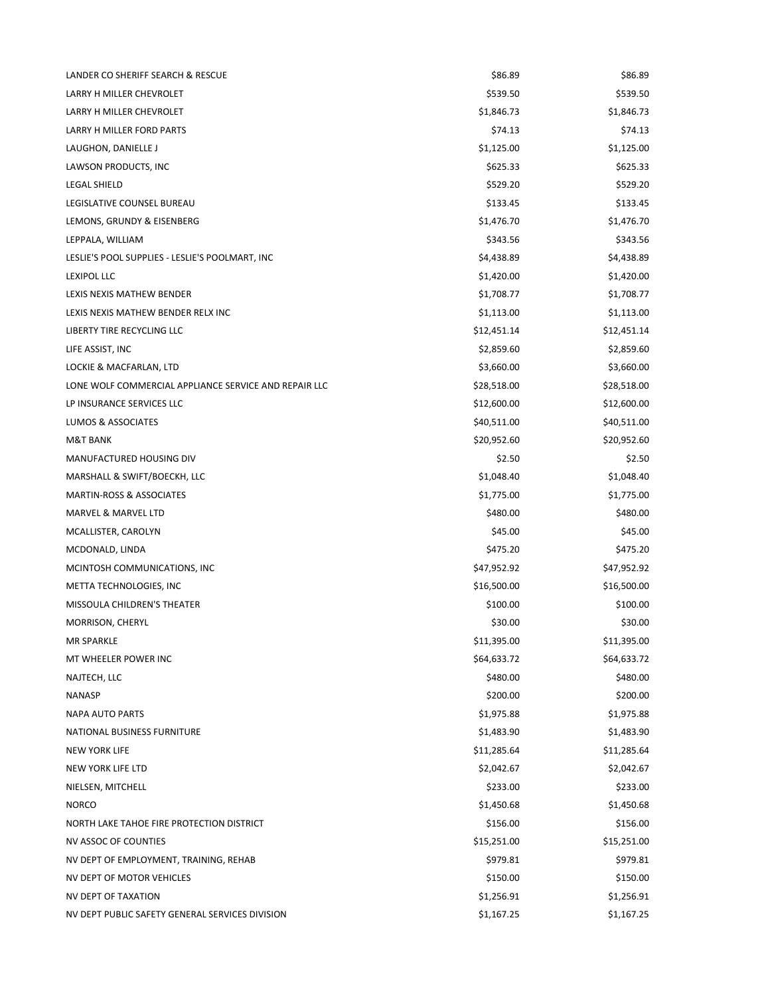| LANDER CO SHERIFF SEARCH & RESCUE                     | \$86.89     | \$86.89     |
|-------------------------------------------------------|-------------|-------------|
| LARRY H MILLER CHEVROLET                              | \$539.50    | \$539.50    |
| LARRY H MILLER CHEVROLET                              | \$1,846.73  | \$1,846.73  |
| LARRY H MILLER FORD PARTS                             | \$74.13     | \$74.13     |
| LAUGHON, DANIELLE J                                   | \$1,125.00  | \$1,125.00  |
| LAWSON PRODUCTS, INC                                  | \$625.33    | \$625.33    |
| LEGAL SHIELD                                          | \$529.20    | \$529.20    |
| LEGISLATIVE COUNSEL BUREAU                            | \$133.45    | \$133.45    |
| LEMONS, GRUNDY & EISENBERG                            | \$1,476.70  | \$1,476.70  |
| LEPPALA, WILLIAM                                      | \$343.56    | \$343.56    |
| LESLIE'S POOL SUPPLIES - LESLIE'S POOLMART, INC       | \$4,438.89  | \$4,438.89  |
| LEXIPOL LLC                                           | \$1,420.00  | \$1,420.00  |
| LEXIS NEXIS MATHEW BENDER                             | \$1,708.77  | \$1,708.77  |
| LEXIS NEXIS MATHEW BENDER RELX INC                    | \$1,113.00  | \$1,113.00  |
| LIBERTY TIRE RECYCLING LLC                            | \$12,451.14 | \$12,451.14 |
| LIFE ASSIST, INC                                      | \$2,859.60  | \$2,859.60  |
| LOCKIE & MACFARLAN, LTD                               | \$3,660.00  | \$3,660.00  |
| LONE WOLF COMMERCIAL APPLIANCE SERVICE AND REPAIR LLC | \$28,518.00 | \$28,518.00 |
| LP INSURANCE SERVICES LLC                             | \$12,600.00 | \$12,600.00 |
| <b>LUMOS &amp; ASSOCIATES</b>                         | \$40,511.00 | \$40,511.00 |
| M&T BANK                                              | \$20,952.60 | \$20,952.60 |
| MANUFACTURED HOUSING DIV                              | \$2.50      | \$2.50      |
| MARSHALL & SWIFT/BOECKH, LLC                          | \$1,048.40  | \$1,048.40  |
| MARTIN-ROSS & ASSOCIATES                              | \$1,775.00  | \$1,775.00  |
| MARVEL & MARVEL LTD                                   | \$480.00    | \$480.00    |
| MCALLISTER, CAROLYN                                   | \$45.00     | \$45.00     |
| MCDONALD, LINDA                                       | \$475.20    | \$475.20    |
| MCINTOSH COMMUNICATIONS, INC                          | \$47,952.92 | \$47,952.92 |
| METTA TECHNOLOGIES, INC                               | \$16,500.00 | \$16,500.00 |
| MISSOULA CHILDREN'S THEATER                           | \$100.00    | \$100.00    |
| MORRISON, CHERYL                                      | \$30.00     | \$30.00     |
| MR SPARKLE                                            | \$11,395.00 | \$11,395.00 |
| MT WHEELER POWER INC                                  | \$64,633.72 | \$64,633.72 |
| NAJTECH, LLC                                          | \$480.00    | \$480.00    |
| NANASP                                                | \$200.00    | \$200.00    |
| NAPA AUTO PARTS                                       | \$1,975.88  | \$1,975.88  |
| NATIONAL BUSINESS FURNITURE                           | \$1,483.90  | \$1,483.90  |
| <b>NEW YORK LIFE</b>                                  | \$11,285.64 | \$11,285.64 |
| NEW YORK LIFE LTD                                     | \$2,042.67  | \$2,042.67  |
| NIELSEN, MITCHELL                                     | \$233.00    | \$233.00    |
| NORCO                                                 | \$1,450.68  | \$1,450.68  |
| NORTH LAKE TAHOE FIRE PROTECTION DISTRICT             | \$156.00    | \$156.00    |
| NV ASSOC OF COUNTIES                                  | \$15,251.00 | \$15,251.00 |
| NV DEPT OF EMPLOYMENT, TRAINING, REHAB                | \$979.81    | \$979.81    |
| NV DEPT OF MOTOR VEHICLES                             | \$150.00    | \$150.00    |
| NV DEPT OF TAXATION                                   | \$1,256.91  | \$1,256.91  |
| NV DEPT PUBLIC SAFETY GENERAL SERVICES DIVISION       | \$1,167.25  | \$1,167.25  |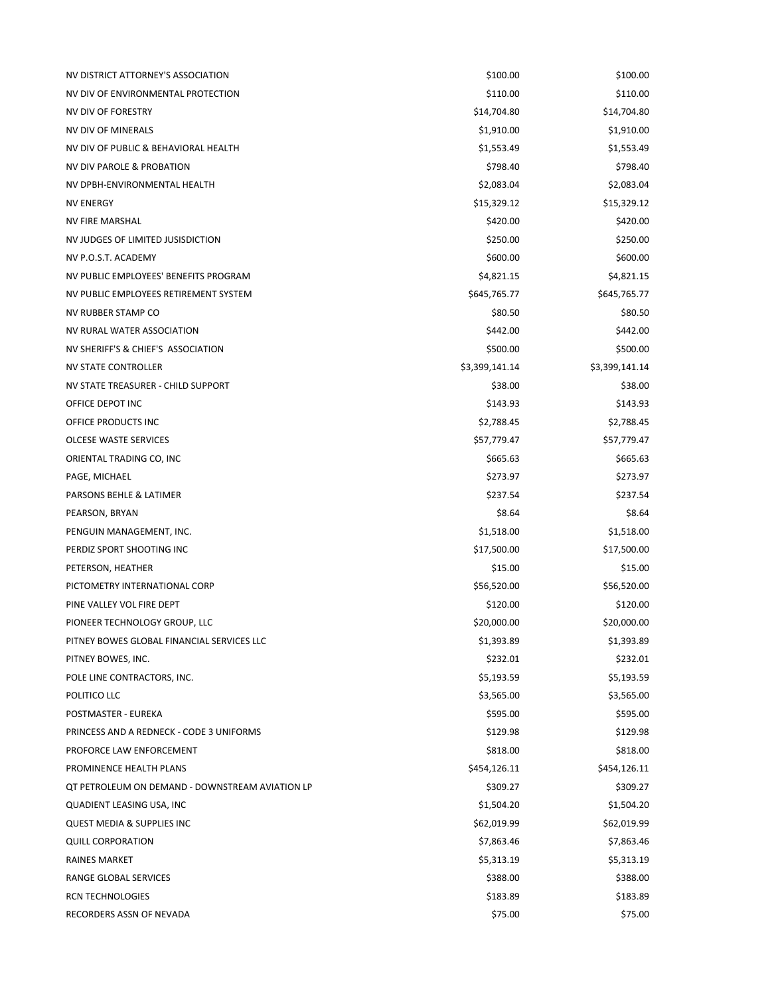| NV DISTRICT ATTORNEY'S ASSOCIATION              | \$100.00       | \$100.00       |
|-------------------------------------------------|----------------|----------------|
| NV DIV OF ENVIRONMENTAL PROTECTION              | \$110.00       | \$110.00       |
| NV DIV OF FORESTRY                              | \$14,704.80    | \$14,704.80    |
| <b>NV DIV OF MINERALS</b>                       | \$1,910.00     | \$1,910.00     |
| NV DIV OF PUBLIC & BEHAVIORAL HEALTH            | \$1,553.49     | \$1,553.49     |
| NV DIV PAROLE & PROBATION                       | \$798.40       | \$798.40       |
| NV DPBH-ENVIRONMENTAL HEALTH                    | \$2,083.04     | \$2,083.04     |
| NV ENERGY                                       | \$15,329.12    | \$15,329.12    |
| <b>NV FIRE MARSHAL</b>                          | \$420.00       | \$420.00       |
| NV JUDGES OF LIMITED JUSISDICTION               | \$250.00       | \$250.00       |
| NV P.O.S.T. ACADEMY                             | \$600.00       | \$600.00       |
| NV PUBLIC EMPLOYEES' BENEFITS PROGRAM           | \$4,821.15     | \$4,821.15     |
| NV PUBLIC EMPLOYEES RETIREMENT SYSTEM           | \$645,765.77   | \$645,765.77   |
| NV RUBBER STAMP CO                              | \$80.50        | \$80.50        |
| NV RURAL WATER ASSOCIATION                      | \$442.00       | \$442.00       |
| NV SHERIFF'S & CHIEF'S ASSOCIATION              | \$500.00       | \$500.00       |
| <b>NV STATE CONTROLLER</b>                      | \$3,399,141.14 | \$3,399,141.14 |
| NV STATE TREASURER - CHILD SUPPORT              | \$38.00        | \$38.00        |
| OFFICE DEPOT INC                                | \$143.93       | \$143.93       |
| OFFICE PRODUCTS INC                             | \$2,788.45     | \$2,788.45     |
| <b>OLCESE WASTE SERVICES</b>                    | \$57,779.47    | \$57,779.47    |
| ORIENTAL TRADING CO, INC                        | \$665.63       | \$665.63       |
| PAGE, MICHAEL                                   | \$273.97       | \$273.97       |
| PARSONS BEHLE & LATIMER                         | \$237.54       | \$237.54       |
| PEARSON, BRYAN                                  | \$8.64         | \$8.64         |
| PENGUIN MANAGEMENT, INC.                        | \$1,518.00     | \$1,518.00     |
| PERDIZ SPORT SHOOTING INC                       | \$17,500.00    | \$17,500.00    |
| PETERSON, HEATHER                               | \$15.00        | \$15.00        |
| PICTOMETRY INTERNATIONAL CORP                   | \$56,520.00    | \$56,520.00    |
| PINE VALLEY VOL FIRE DEPT                       | \$120.00       | \$120.00       |
| PIONEER TECHNOLOGY GROUP, LLC                   | \$20,000.00    | \$20,000.00    |
| PITNEY BOWES GLOBAL FINANCIAL SERVICES LLC      | \$1,393.89     | \$1,393.89     |
| PITNEY BOWES, INC.                              | \$232.01       | \$232.01       |
| POLE LINE CONTRACTORS, INC.                     | \$5,193.59     | \$5,193.59     |
| POLITICO LLC                                    | \$3,565.00     | \$3,565.00     |
| POSTMASTER - EUREKA                             | \$595.00       | \$595.00       |
| PRINCESS AND A REDNECK - CODE 3 UNIFORMS        | \$129.98       | \$129.98       |
| PROFORCE LAW ENFORCEMENT                        | \$818.00       | \$818.00       |
| PROMINENCE HEALTH PLANS                         | \$454,126.11   | \$454,126.11   |
| QT PETROLEUM ON DEMAND - DOWNSTREAM AVIATION LP | \$309.27       | \$309.27       |
| QUADIENT LEASING USA, INC                       | \$1,504.20     | \$1,504.20     |
| <b>QUEST MEDIA &amp; SUPPLIES INC</b>           | \$62,019.99    | \$62,019.99    |
| <b>QUILL CORPORATION</b>                        | \$7,863.46     | \$7,863.46     |
| RAINES MARKET                                   | \$5,313.19     | \$5,313.19     |
| RANGE GLOBAL SERVICES                           | \$388.00       | \$388.00       |
| RCN TECHNOLOGIES                                | \$183.89       | \$183.89       |
| RECORDERS ASSN OF NEVADA                        | \$75.00        | \$75.00        |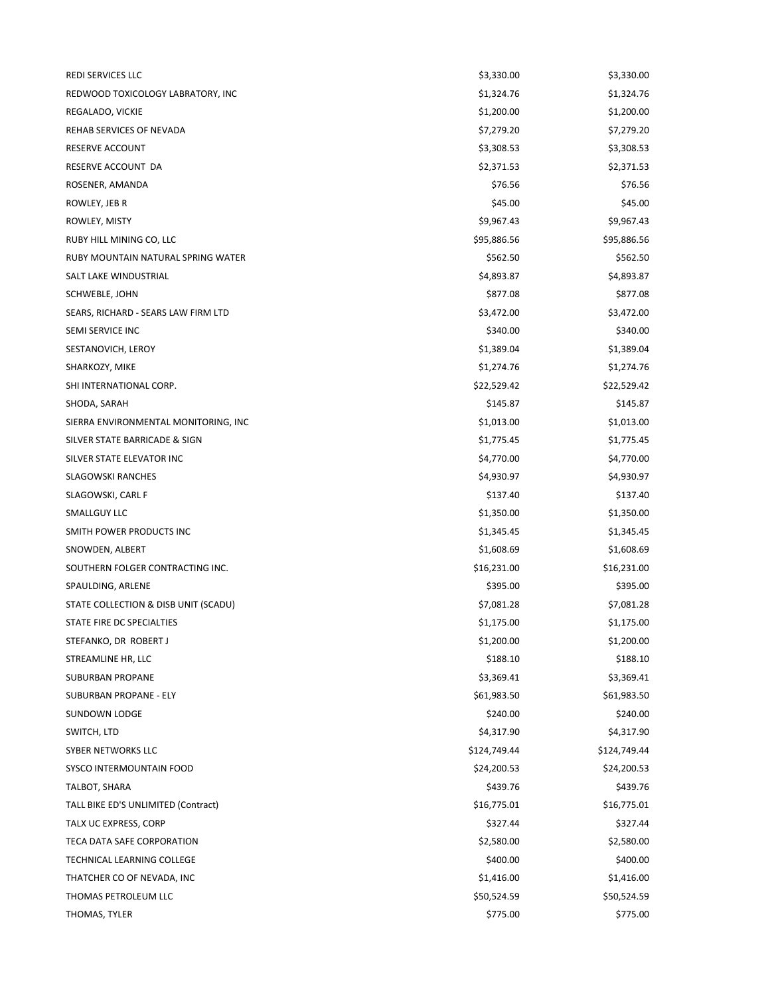| REDI SERVICES LLC                    | \$3,330.00   | \$3,330.00   |
|--------------------------------------|--------------|--------------|
| REDWOOD TOXICOLOGY LABRATORY, INC    | \$1,324.76   | \$1,324.76   |
| REGALADO, VICKIE                     | \$1,200.00   | \$1,200.00   |
| REHAB SERVICES OF NEVADA             | \$7,279.20   | \$7,279.20   |
| RESERVE ACCOUNT                      | \$3,308.53   | \$3,308.53   |
| RESERVE ACCOUNT DA                   | \$2,371.53   | \$2,371.53   |
| ROSENER, AMANDA                      | \$76.56      | \$76.56      |
| ROWLEY, JEB R                        | \$45.00      | \$45.00      |
| ROWLEY, MISTY                        | \$9,967.43   | \$9,967.43   |
| RUBY HILL MINING CO, LLC             | \$95,886.56  | \$95,886.56  |
| RUBY MOUNTAIN NATURAL SPRING WATER   | \$562.50     | \$562.50     |
| SALT LAKE WINDUSTRIAL                | \$4,893.87   | \$4,893.87   |
| SCHWEBLE, JOHN                       | \$877.08     | \$877.08     |
| SEARS, RICHARD - SEARS LAW FIRM LTD  | \$3,472.00   | \$3,472.00   |
| SEMI SERVICE INC                     | \$340.00     | \$340.00     |
| SESTANOVICH, LEROY                   | \$1,389.04   | \$1,389.04   |
| SHARKOZY, MIKE                       | \$1,274.76   | \$1,274.76   |
| SHI INTERNATIONAL CORP.              | \$22,529.42  | \$22,529.42  |
| SHODA, SARAH                         | \$145.87     | \$145.87     |
| SIERRA ENVIRONMENTAL MONITORING, INC | \$1,013.00   | \$1,013.00   |
| SILVER STATE BARRICADE & SIGN        | \$1,775.45   | \$1,775.45   |
| SILVER STATE ELEVATOR INC            | \$4,770.00   | \$4,770.00   |
| <b>SLAGOWSKI RANCHES</b>             | \$4,930.97   | \$4,930.97   |
| SLAGOWSKI, CARL F                    | \$137.40     | \$137.40     |
| SMALLGUY LLC                         | \$1,350.00   | \$1,350.00   |
| SMITH POWER PRODUCTS INC             | \$1,345.45   | \$1,345.45   |
| SNOWDEN, ALBERT                      | \$1,608.69   | \$1,608.69   |
| SOUTHERN FOLGER CONTRACTING INC.     | \$16,231.00  | \$16,231.00  |
| SPAULDING, ARLENE                    | \$395.00     | \$395.00     |
| STATE COLLECTION & DISB UNIT (SCADU) | \$7,081.28   | \$7,081.28   |
| STATE FIRE DC SPECIALTIES            | \$1,175.00   | \$1,175.00   |
| STEFANKO, DR ROBERT J                | \$1,200.00   | \$1,200.00   |
| STREAMLINE HR, LLC                   | \$188.10     | \$188.10     |
| SUBURBAN PROPANE                     | \$3,369.41   | \$3,369.41   |
| SUBURBAN PROPANE - ELY               | \$61,983.50  | \$61,983.50  |
| <b>SUNDOWN LODGE</b>                 | \$240.00     | \$240.00     |
| SWITCH, LTD                          | \$4,317.90   | \$4,317.90   |
| SYBER NETWORKS LLC                   | \$124,749.44 | \$124,749.44 |
| SYSCO INTERMOUNTAIN FOOD             | \$24,200.53  | \$24,200.53  |
| TALBOT, SHARA                        | \$439.76     | \$439.76     |
| TALL BIKE ED'S UNLIMITED (Contract)  | \$16,775.01  | \$16,775.01  |
| TALX UC EXPRESS, CORP                | \$327.44     | \$327.44     |
| TECA DATA SAFE CORPORATION           | \$2,580.00   | \$2,580.00   |
| TECHNICAL LEARNING COLLEGE           | \$400.00     | \$400.00     |
| THATCHER CO OF NEVADA, INC           | \$1,416.00   | \$1,416.00   |
| THOMAS PETROLEUM LLC                 | \$50,524.59  | \$50,524.59  |
| THOMAS, TYLER                        | \$775.00     | \$775.00     |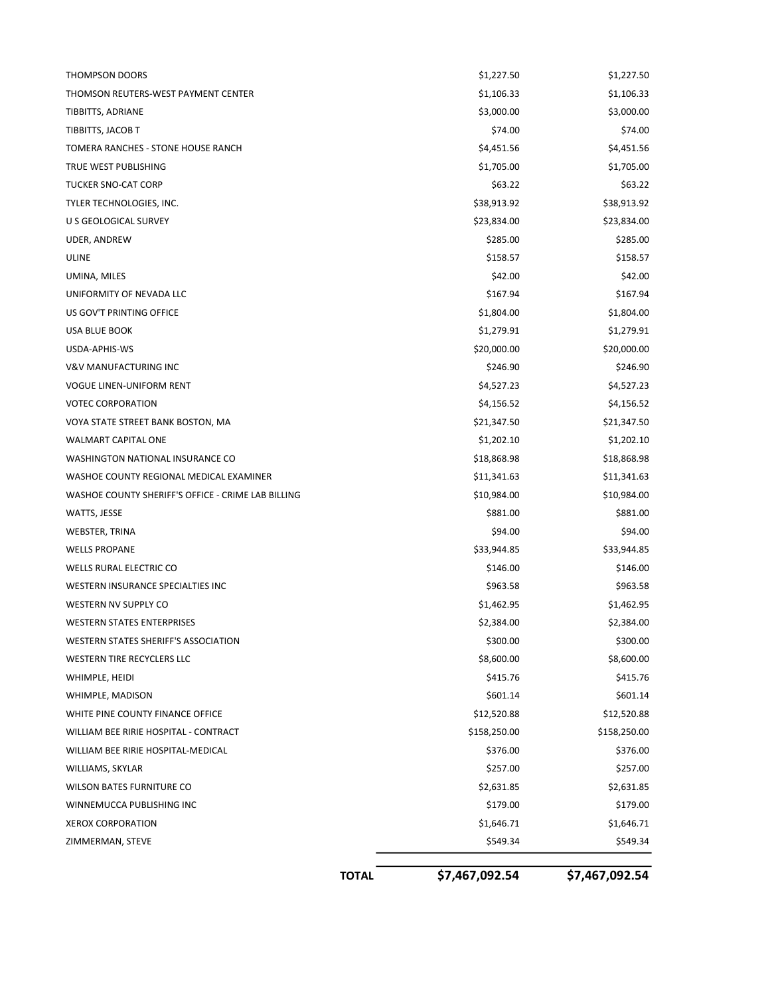|                                                    | <b>TOTAL</b> | \$7,467,092.54 | \$7,467,092.54 |
|----------------------------------------------------|--------------|----------------|----------------|
| ZIMMERMAN, STEVE                                   |              | \$549.34       | \$549.34       |
| <b>XEROX CORPORATION</b>                           |              | \$1,646.71     | \$1,646.71     |
| WINNEMUCCA PUBLISHING INC                          |              | \$179.00       | \$179.00       |
| WILSON BATES FURNITURE CO                          |              | \$2,631.85     | \$2,631.85     |
| WILLIAMS, SKYLAR                                   |              | \$257.00       | \$257.00       |
| WILLIAM BEE RIRIE HOSPITAL-MEDICAL                 |              | \$376.00       | \$376.00       |
| WILLIAM BEE RIRIE HOSPITAL - CONTRACT              |              | \$158,250.00   | \$158,250.00   |
| WHITE PINE COUNTY FINANCE OFFICE                   |              | \$12,520.88    | \$12,520.88    |
| WHIMPLE, MADISON                                   |              | \$601.14       | \$601.14       |
| WHIMPLE, HEIDI                                     |              | \$415.76       | \$415.76       |
| WESTERN TIRE RECYCLERS LLC                         |              | \$8,600.00     | \$8,600.00     |
| <b>WESTERN STATES SHERIFF'S ASSOCIATION</b>        |              | \$300.00       | \$300.00       |
| <b>WESTERN STATES ENTERPRISES</b>                  |              | \$2,384.00     | \$2,384.00     |
| <b>WESTERN NV SUPPLY CO</b>                        |              | \$1,462.95     | \$1,462.95     |
| WESTERN INSURANCE SPECIALTIES INC                  |              | \$963.58       | \$963.58       |
| WELLS RURAL ELECTRIC CO                            |              | \$146.00       | \$146.00       |
| <b>WELLS PROPANE</b>                               |              | \$33,944.85    | \$33,944.85    |
| WEBSTER, TRINA                                     |              | \$94.00        | \$94.00        |
| WATTS, JESSE                                       |              | \$881.00       | \$881.00       |
| WASHOE COUNTY SHERIFF'S OFFICE - CRIME LAB BILLING |              | \$10,984.00    | \$10,984.00    |
| WASHOE COUNTY REGIONAL MEDICAL EXAMINER            |              | \$11,341.63    | \$11,341.63    |
| WASHINGTON NATIONAL INSURANCE CO                   |              | \$18,868.98    | \$18,868.98    |
| <b>WALMART CAPITAL ONE</b>                         |              | \$1,202.10     | \$1,202.10     |
| VOYA STATE STREET BANK BOSTON, MA                  |              | \$21,347.50    | \$21,347.50    |
| <b>VOTEC CORPORATION</b>                           |              | \$4,156.52     | \$4,156.52     |
| <b>VOGUE LINEN-UNIFORM RENT</b>                    |              | \$4,527.23     | \$4,527.23     |
| <b>V&amp;V MANUFACTURING INC</b>                   |              | \$246.90       | \$246.90       |
| USDA-APHIS-WS                                      |              | \$20,000.00    | \$20,000.00    |
| USA BLUE BOOK                                      |              | \$1,279.91     | \$1,279.91     |
| US GOV'T PRINTING OFFICE                           |              | \$1,804.00     | \$1,804.00     |
| UNIFORMITY OF NEVADA LLC                           |              | \$167.94       | \$167.94       |
| UMINA, MILES                                       |              | \$42.00        | \$42.00        |
| ULINE                                              |              | \$158.57       | \$158.57       |
| UDER, ANDREW                                       |              | \$285.00       | \$285.00       |
| U S GEOLOGICAL SURVEY                              |              | \$23,834.00    | \$23,834.00    |
| TYLER TECHNOLOGIES, INC.                           |              | \$38,913.92    | \$38,913.92    |
| TUCKER SNO-CAT CORP                                |              | \$63.22        | \$63.22        |
| TRUE WEST PUBLISHING                               |              | \$1,705.00     | \$1,705.00     |
| TOMERA RANCHES - STONE HOUSE RANCH                 |              | \$4,451.56     | \$4,451.56     |
| TIBBITTS, JACOB T                                  |              | \$74.00        | \$74.00        |
| TIBBITTS, ADRIANE                                  |              | \$3,000.00     | \$3,000.00     |
| THOMSON REUTERS-WEST PAYMENT CENTER                |              | \$1,106.33     | \$1,106.33     |
| <b>THOMPSON DOORS</b>                              |              | \$1,227.50     | \$1,227.50     |